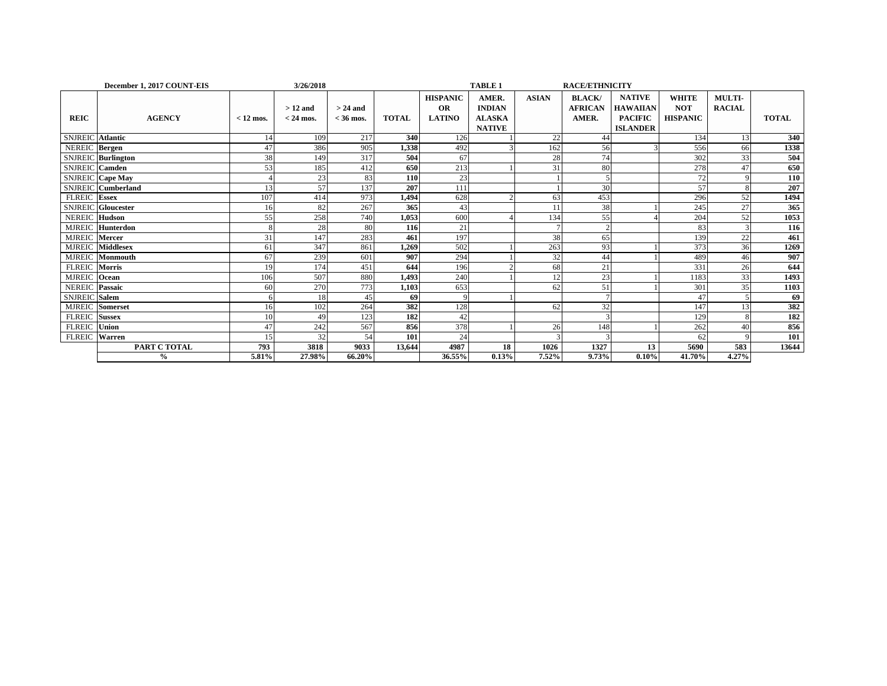|                         | 3/26/2018<br>December 1, 2017 COUNT-EIS |             |             |             |              |                 | <b>TABLE 1</b><br><b>RACE/ETHNICITY</b> |              |                |                 |                 |               |              |  |
|-------------------------|-----------------------------------------|-------------|-------------|-------------|--------------|-----------------|-----------------------------------------|--------------|----------------|-----------------|-----------------|---------------|--------------|--|
|                         |                                         |             |             |             |              | <b>HISPANIC</b> | AMER.                                   | <b>ASIAN</b> | <b>BLACK</b> / | <b>NATIVE</b>   | <b>WHITE</b>    | <b>MULTI-</b> |              |  |
|                         |                                         |             | $>12$ and   | $> 24$ and  |              | <b>OR</b>       | <b>INDIAN</b>                           |              | <b>AFRICAN</b> | <b>HAWAIIAN</b> | <b>NOT</b>      | <b>RACIAL</b> |              |  |
| <b>REIC</b>             | <b>AGENCY</b>                           | $< 12$ mos. | $<$ 24 mos. | $<$ 36 mos. | <b>TOTAL</b> | <b>LATINO</b>   | <b>ALASKA</b>                           |              | AMER.          | <b>PACIFIC</b>  | <b>HISPANIC</b> |               | <b>TOTAL</b> |  |
|                         |                                         |             |             |             |              |                 | <b>NATIVE</b>                           |              |                | <b>ISLANDER</b> |                 |               |              |  |
| <b>SNJREIC</b>          | <b>Atlantic</b>                         | 14          | 109         | 217         | 340          | 126             |                                         | 22           | 44             |                 | 134             | 13            | 340          |  |
| NEREIC Bergen           |                                         | 47          | 386         | 905         | 1,338        | 492             |                                         | 162          | 56             |                 | 556             | 66            | 1338         |  |
|                         | <b>SNJREIC</b> Burlington               | 38          | 149         | 317         | 504          | 67              |                                         | 28           | 74             |                 | 302             | 33            | 504          |  |
| <b>SNJREIC</b> Camden   |                                         | 53          | 185         | 412         | 650          | 213             |                                         | 31           | 80             |                 | 278             | 47            | 650          |  |
| <b>SNJREIC</b> Cape May |                                         |             | 23          | 83          | 110          | 23              |                                         |              |                |                 | 72              |               | 110          |  |
|                         | <b>SNJREIC</b> Cumberland               | 13          | 57          | 137         | 207          | 111             |                                         |              | 30             |                 | 57              |               | 207          |  |
| <b>FLREIC</b> Essex     |                                         | 107         | 414         | 973         | 1,494        | 628             |                                         | 63           | 453            |                 | 296             | 52            | 1494         |  |
|                         | <b>SNJREIC</b> Gloucester               | 16          | 82          | 267         | 365          | 43              |                                         |              | 38             |                 | 245             | 27            | 365          |  |
| <b>NEREIC Hudson</b>    |                                         | 55          | 258         | 740         | 1,053        | 600             |                                         | 134          | 55             |                 | 204             | 52            | 1053         |  |
|                         | MJREIC Hunterdon                        | 8           | 28          | 80          | 116          | 21              |                                         |              |                |                 | 83              |               | 116          |  |
| MJREIC Mercer           |                                         | 31          | 147         | 283         | 461          | 197             |                                         | 38           | 65             |                 | 139             | 22            | 461          |  |
| <b>MJREIC</b>           | <b>Middlesex</b>                        | 61          | 347         | 861         | 1,269        | 502             |                                         | 263          | 93             |                 | 373             | 36            | 1269         |  |
|                         | MJREIC Monmouth                         | 67          | 239         | 601         | 907          | 294             |                                         | 32           | 44             |                 | 489             | 46            | 907          |  |
| FLREIC Morris           |                                         | 19          | 174         | 451         | 644          | 196             |                                         | 68           | 21             |                 | 331             | 26            | 644          |  |
| MJREIC Ocean            |                                         | 106         | 507         | 880         | 1,493        | 240             |                                         | 12           | 23             |                 | 1183            | 33            | 1493         |  |
| NEREIC Passaic          |                                         | 60          | 270         | 773         | 1,103        | 653             |                                         | 62           | 51             |                 | 301             | 35            | 1103         |  |
| SNJREIC Salem           |                                         |             | 18          | 45          | 69           | $\mathbf{Q}$    |                                         |              |                |                 | 47              |               | 69           |  |
| MJREIC Somerset         |                                         | 16          | 102         | 264         | 382          | 128             |                                         | 62           | 32             |                 | 147             |               | 382          |  |
| <b>FLREIC</b> Sussex    |                                         | 10          | 49          | 123         | 182          | 42              |                                         |              |                |                 | 129             |               | 182          |  |
| <b>FLREIC</b>           | Union                                   | 47          | 242         | 567         | 856          | 378             |                                         | 26           | 148            |                 | 262             | 40            | 856          |  |
| FLREIC Warren           |                                         | 15          | 32          | 54          | 101          | 24              |                                         |              |                |                 | 62              |               | 101          |  |
|                         | PART C TOTAL                            | 793         | 3818        | 9033        | 13,644       | 4987            | 18                                      | 1026         | 1327           | 13              | 5690            | 583           | 13644        |  |
|                         | $\frac{0}{0}$                           | 5.81%       | 27.98%      | 66.20%      |              | 36.55%          | 0.13%                                   | 7.52%        | 9.73%          | 0.10%           | 41.70%          | 4.27%         |              |  |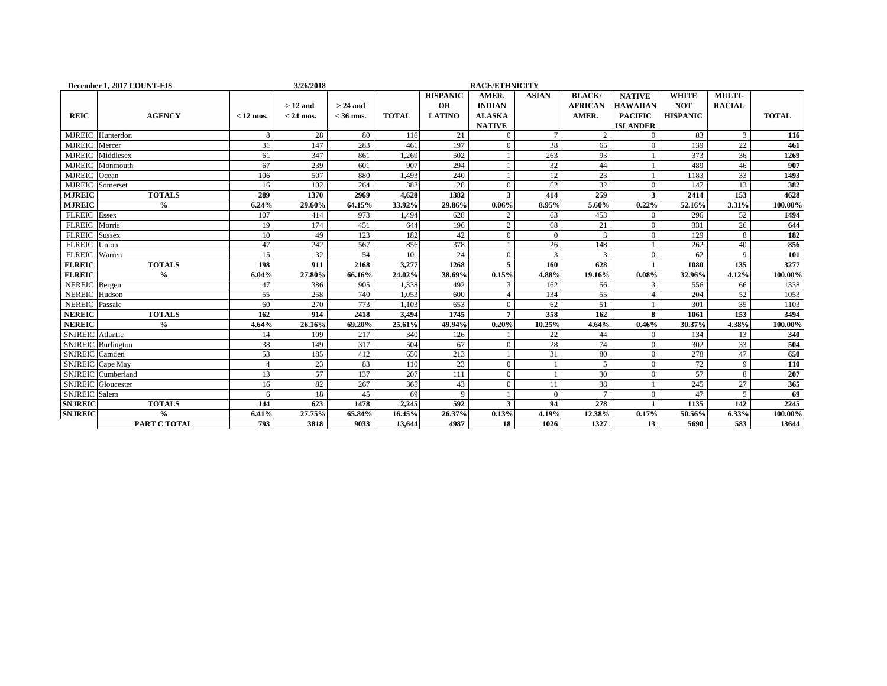|                           | December 1, 2017 COUNT-EIS |                | 3/26/2018   |             |              |                 | <b>RACE/ETHNICITY</b> |              |                |                 |                 |               |              |
|---------------------------|----------------------------|----------------|-------------|-------------|--------------|-----------------|-----------------------|--------------|----------------|-----------------|-----------------|---------------|--------------|
|                           |                            |                |             |             |              | <b>HISPANIC</b> | AMER.                 | <b>ASIAN</b> | <b>BLACK</b>   | <b>NATIVE</b>   | <b>WHITE</b>    | MULTI-        |              |
|                           |                            |                | $>12$ and   | $> 24$ and  |              | OR              | <b>INDIAN</b>         |              | <b>AFRICAN</b> | <b>HAWAIIAN</b> | <b>NOT</b>      | <b>RACIAL</b> |              |
| <b>REIC</b>               | <b>AGENCY</b>              | $< 12$ mos.    | $<$ 24 mos. | $<$ 36 mos. | <b>TOTAL</b> | <b>LATINO</b>   | <b>ALASKA</b>         |              | AMER.          | <b>PACIFIC</b>  | <b>HISPANIC</b> |               | <b>TOTAL</b> |
|                           |                            |                |             |             |              |                 | <b>NATIVE</b>         |              |                | <b>ISLANDER</b> |                 |               |              |
| <b>MJREIC</b>             | Hunterdon                  | 8              | 28          | 80          | 116          | 21              | $\Omega$              |              | $\overline{2}$ | $\Omega$        | 83              | 3             | 116          |
| <b>MJREIC</b>             | Mercer                     | 31             | 147         | 283         | 461          | 197             | $\Omega$              | 38           | 65             | $\Omega$        | 139             | 22            | 461          |
| <b>MJREIC</b>             | Middlesex                  | 61             | 347         | 861         | .269         | 502             |                       | 263          | 93             |                 | 373             | 36            | 1269         |
| <b>MJREIC</b>             | Monmouth                   | 67             | 239         | 601         | 907          | 294             |                       | 32           | 44             |                 | 489             | 46            | 907          |
| <b>MJREIC</b>             | Ocean                      | 106            | 507         | 880         | 1,493        | 240             |                       | 12           | 23             |                 | 1183            | 33            | 1493         |
| <b>MJREIC</b>             | Somerset                   | 16             | 102         | 264         | 382          | 128             | $\theta$              | 62           | 32             | $\mathbf{0}$    | 147             | 13            | 382          |
| <b>MJREIC</b>             | <b>TOTALS</b>              | 289            | 1370        | 2969        | 4.628        | 1382            | 3                     | 414          | 259            | 3               | 2414            | 153           | 4628         |
| <b>MJREIC</b>             | $\frac{0}{0}$              | 6.24%          | 29.60%      | 64.15%      | 33.92%       | 29.86%          | 0.06%                 | 8.95%        | 5.60%          | 0.22%           | 52.16%          | 3.31%         | 100.00%      |
| <b>FLREIC</b>             | Essex                      | 107            | 414         | 973         | .494         | 628             | $\mathfrak{D}$        | 63           | 453            | $\mathbf{0}$    | 296             | 52            | 1494         |
| <b>FLREIC</b>             | Morris                     | 19             | 174         | 451         | 644          | 196             | $\overline{2}$        | 68           | 21             | $\mathbf{0}$    | 331             | 26            | 644          |
| <b>FLREIC</b>             | <b>Sussex</b>              | 10             | 49          | 123         | 182          | 42              | $\mathbf{0}$          | $\Omega$     | 3              | $\theta$        | 129             | 8             | 182          |
| <b>FLREIC</b>             | Union                      | 47             | 242         | 567         | 856          | 378             |                       | 26           | 148            |                 | 262             | 40            | 856          |
| <b>FLREIC</b>             | Warren                     | 15             | 32          | 54          | 101          | 24              | $\Omega$              | 3            | 3              | $\mathbf{0}$    | 62              | 9             | 101          |
| <b>FLREIC</b>             | <b>TOTALS</b>              | 198            | 911         | 2168        | 3.277        | 1268            | 5                     | 160          | 628            |                 | 1080            | 135           | 3277         |
| <b>FLREIC</b>             | $\frac{0}{0}$              | 6.04%          | 27.80%      | 66.16%      | 24.02%       | 38.69%          | 0.15%                 | 4.88%        | 19.16%         | 0.08%           | 32.96%          | 4.12%         | 100.00%      |
| NEREIC Bergen             |                            | 47             | 386         | 905         | 1,338        | 492             | 3                     | 162          | 56             | 3               | 556             | 66            | 1338         |
| <b>NEREIC</b>             | Hudson                     | 55             | 258         | 740         | 1,053        | 600             |                       | 134          | 55             | $\overline{A}$  | 204             | 52            | 1053         |
| <b>NEREIC</b>             | Passaic                    | 60             | 270         | 773         | 1,103        | 653             | $\theta$              | 62           | 51             |                 | 301             | 35            | 1103         |
| <b>NEREIC</b>             | <b>TOTALS</b>              | 162            | 914         | 2418        | 3,494        | 1745            |                       | 358          | 162            | 8               | 1061            | 153           | 3494         |
| <b>NEREIC</b>             | $\frac{6}{6}$              | 4.64%          | 26.16%      | 69.20%      | 25.61%       | 49.94%          | 0.20%                 | 10.25%       | 4.64%          | 0.46%           | 30.37%          | 4.38%         | 100.00%      |
| <b>SNJREIC</b> Atlantic   |                            | 14             | 109         | 217         | 340          | 126             |                       | 22           | 44             | $\theta$        | 134             | 13            | 340          |
| <b>SNJREIC</b>            | Burlington                 | 38             | 149         | 317         | 504          | 67              | $\theta$              | 28           | 74             | $\mathbf{0}$    | 302             | 33            | 504          |
| <b>SNJREIC</b>            | Camden                     | 53             | 185         | 412         | 650          | 213             |                       | 31           | 80             | $\Omega$        | 278             | 47            | 650          |
| <b>SNJREIC</b> Cape May   |                            | $\overline{4}$ | 23          | 83          | 110          | 23              | $\theta$              |              | $\overline{5}$ | $\Omega$        | 72              | 9             | 110          |
| <b>SNJREIC</b>            | Cumberland                 | 13             | 57          | 137         | 207          | 111             | $\overline{0}$        |              | 30             | $\theta$        | 57              | 8             | 207          |
| <b>SNJREIC</b> Gloucester |                            | 16             | 82          | 267         | 365          | 43              | $\theta$              | 11           | 38             |                 | 245             | 27            | 365          |
| <b>SNJREIC</b> Salem      |                            | 6              | 18          | 45          | 69           | 9               |                       | $\Omega$     | $\overline{7}$ | $\mathbf{0}$    | 47              | 5             | 69           |
| <b>SNJREIC</b>            | <b>TOTALS</b>              | 144            | 623         | 1478        | 2,245        | 592             | 3                     | 94           | 278            |                 | 1135            | 142           | 2245         |
| <b>SNJREIC</b>            | $\frac{9}{6}$              | 6.41%          | 27.75%      | 65.84%      | $16.45\%$    | 26.37%          | 0.13%                 | 4.19%        | 12.38%         | 0.17%           | 50.56%          | 6.33%         | 100.00%      |
|                           | PART C TOTAL               | 793            | 3818        | 9033        | 13.644       | 4987            | 18                    | 1026         | 1327           | 13              | 5690            | 583           | 13644        |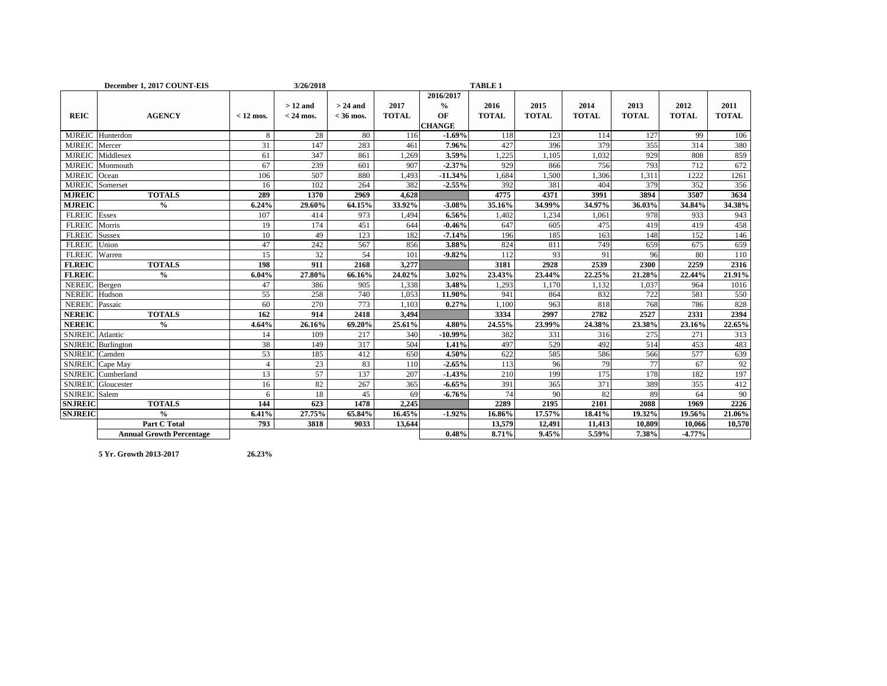|                         | December 1, 2017 COUNT-EIS      |                | 3/26/2018                |                           |                      |                                                   | <b>TABLE 1</b>       |                      |                      |                      |                      |                      |
|-------------------------|---------------------------------|----------------|--------------------------|---------------------------|----------------------|---------------------------------------------------|----------------------|----------------------|----------------------|----------------------|----------------------|----------------------|
| <b>REIC</b>             | <b>AGENCY</b>                   | $< 12$ mos.    | $>12$ and<br>$<$ 24 mos. | $> 24$ and<br>$<$ 36 mos. | 2017<br><b>TOTAL</b> | 2016/2017<br>$\frac{0}{0}$<br>OF<br><b>CHANGE</b> | 2016<br><b>TOTAL</b> | 2015<br><b>TOTAL</b> | 2014<br><b>TOTAL</b> | 2013<br><b>TOTAL</b> | 2012<br><b>TOTAL</b> | 2011<br><b>TOTAL</b> |
|                         | MJREIC Hunterdon                | 8              | 28                       | 80                        | 116                  | $-1.69%$                                          | 118                  | 123                  | 114                  | 127                  | 99                   | 106                  |
| <b>MJREIC</b>           | Mercer                          | 31             | 147                      | 283                       | 461                  | 7.96%                                             | 427                  | 396                  | 379                  | 355                  | 314                  | 380                  |
| <b>MJREIC</b>           | Middlesex                       | 61             | 347                      | 861                       | 1,269                | 3.59%                                             | 1,225                | 1,105                | 1,032                | 929                  | 808                  | 859                  |
| <b>MJREIC</b>           | Monmouth                        | 67             | 239                      | 601                       | 907                  | $-2.37%$                                          | 929                  | 866                  | 756                  | 793                  | 712                  | 672                  |
| <b>MJREIC</b>           | Ocean                           | 106            | 507                      | 880                       | 1,493                | $-11.34%$                                         | 1,684                | 1,500                | 1,306                | 1,311                | 1222                 | 1261                 |
| <b>MJREIC</b>           | Somerset                        | 16             | 102                      | 264                       | 382                  | $-2.55%$                                          | 392                  | 381                  | 404                  | 379                  | 352                  | 356                  |
| <b>MJREIC</b>           | <b>TOTALS</b>                   | 289            | 1370                     | 2969                      | 4.628                |                                                   | 4775                 | 4371                 | 3991                 | 3894                 | 3507                 | 3634                 |
| <b>MJREIC</b>           | $\frac{0}{0}$                   | 6.24%          | 29.60%                   | 64.15%                    | 33.92%               | $-3.08%$                                          | 35.16%               | 34.99%               | 34.97%               | 36.03%               | 34.84%               | 34.38%               |
| <b>FLREIC</b> Essex     |                                 | 107            | 414                      | 973                       | 1.494                | 6.56%                                             | 1,402                | 1,234                | 1,061                | 978                  | 933                  | 943                  |
| FLREIC Morris           |                                 | 19             | 174                      | 451                       | 644                  | $-0.46%$                                          | 647                  | 605                  | 475                  | 419                  | 419                  | 458                  |
| <b>FLREIC</b>           | Sussex                          | 10             | 49                       | 123                       | 182                  | $-7.14%$                                          | 196                  | 185                  | 163                  | 148                  | 152                  | 146                  |
| <b>FLREIC</b>           | Union                           | 47             | 242                      | 567                       | 856                  | 3.88%                                             | 824                  | 811                  | 749                  | 659                  | 675                  | 659                  |
| <b>FLREIC</b>           | Warren                          | 15             | 32                       | 54                        | 101                  | $-9.82%$                                          | 112                  | 93                   | 91                   | 96                   | 80                   | 110                  |
| <b>FLREIC</b>           | <b>TOTALS</b>                   | 198            | 911                      | 2168                      | 3,277                |                                                   | 3181                 | 2928                 | 2539                 | 2300                 | 2259                 | 2316                 |
| <b>FLREIC</b>           | $\frac{0}{0}$                   | 6.04%          | 27.80%                   | 66.16%                    | 24.02%               | 3.02%                                             | 23.43%               | 23.44%               | 22.25%               | 21.28%               | 22.44%               | 21.91%               |
| NEREIC Bergen           |                                 | 47             | 386                      | 905                       | 1,338                | 3.48%                                             | 1,293                | 1,170                | 1,132                | 1,037                | 964                  | 1016                 |
| NEREIC Hudson           |                                 | 55             | 258                      | 740                       | 1,053                | 11.90%                                            | 941                  | 864                  | 832                  | 722                  | 581                  | 550                  |
| <b>NEREIC</b> Passaic   |                                 | 60             | 270                      | 773                       | 1.103                | 0.27%                                             | 1.100                | 963                  | 818                  | 768                  | 786                  | 828                  |
| <b>NEREIC</b>           | <b>TOTALS</b>                   | 162            | 914                      | 2418                      | 3,494                |                                                   | 3334                 | 2997                 | 2782                 | 2527                 | 2331                 | 2394                 |
| <b>NEREIC</b>           | $\frac{0}{0}$                   | 4.64%          | 26.16%                   | 69.20%                    | 25.61%               | 4.80%                                             | 24.55%               | 23.99%               | 24.38%               | 23.38%               | 23.16%               | 22.65%               |
| <b>SNJREIC</b> Atlantic |                                 | 14             | 109                      | 217                       | 340                  | $-10.99%$                                         | 382                  | 331                  | 316                  | 275                  | 271                  | 313                  |
|                         | <b>SNJREIC</b> Burlington       | 38             | 149                      | 317                       | 504                  | 1.41%                                             | 497                  | 529                  | 492                  | 514                  | 453                  | 483                  |
| SNJREIC Camden          |                                 | 53             | 185                      | 412                       | 650                  | 4.50%                                             | 622                  | 585                  | 586                  | 566                  | 577                  | 639                  |
|                         | SNJREIC Cape May                | $\overline{4}$ | 23                       | 83                        | 110                  | $-2.65%$                                          | 113                  | 96                   | 79                   | 77                   | 67                   | 92                   |
|                         | SNJREIC Cumberland              | 13             | 57                       | 137                       | 207                  | $-1.43%$                                          | 210                  | 199                  | 175                  | 178                  | 182                  | 197                  |
|                         | <b>SNJREIC</b> Gloucester       | 16             | 82                       | 267                       | 365                  | $-6.65%$                                          | 391                  | 365                  | 371                  | 389                  | 355                  | 412                  |
| SNJREIC Salem           |                                 | 6              | 18                       | 45                        | 69                   | $-6.76%$                                          | 74                   | 90                   | 82                   | 89                   | 64                   | 90                   |
| <b>SNJREIC</b>          | <b>TOTALS</b>                   | 144            | 623                      | 1478                      | 2,245                |                                                   | 2289                 | 2195                 | 2101                 | 2088                 | 1969                 | 2226                 |
| <b>SNJREIC</b>          | $\frac{0}{0}$                   | 6.41%          | 27.75%                   | 65.84%                    | 16.45%               | $-1.92%$                                          | 16.86%               | 17.57%               | 18.41%               | 19.32%               | 19.56%               | 21.06%               |
|                         | <b>Part C Total</b>             | 793            | 3818                     | 9033                      | 13,644               |                                                   | 13,579               | 12,491               | 11,413               | 10,809               | 10,066               | 10,570               |
|                         | <b>Annual Growth Percentage</b> |                |                          |                           |                      | 0.48%                                             | 8.71%                | 9.45%                | 5.59%                | 7.38%                | $-4.77%$             |                      |

**5 Yr. Growth 2013-2017 26.23%**